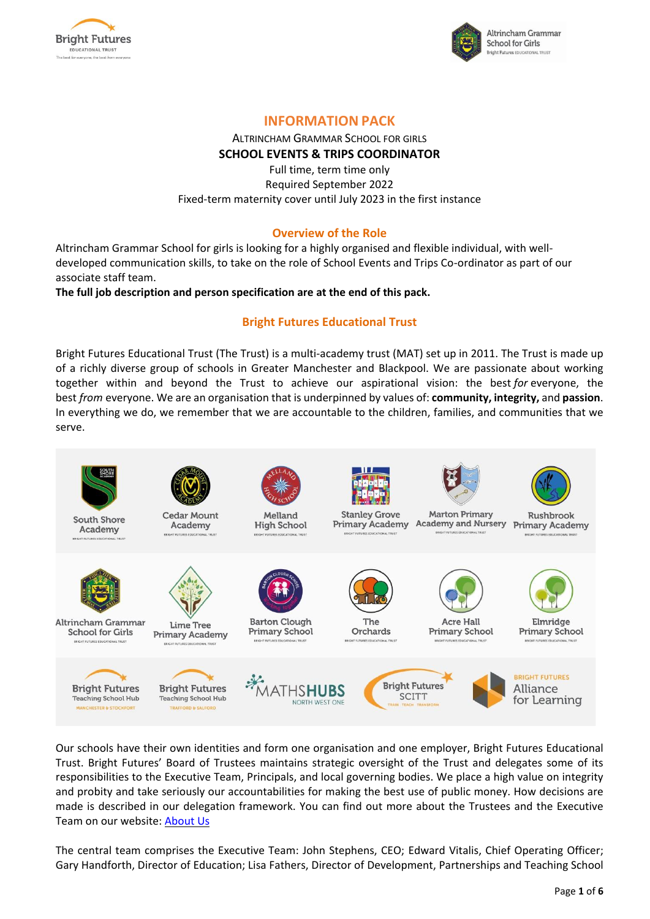



## **INFORMATION PACK**

# ALTRINCHAM GRAMMAR SCHOOL FOR GIRLS **SCHOOL EVENTS & TRIPS COORDINATOR**

Full time, term time only Required September 2022 Fixed-term maternity cover until July 2023 in the first instance

## **Overview of the Role**

Altrincham Grammar School for girls is looking for a highly organised and flexible individual, with welldeveloped communication skills, to take on the role of School Events and Trips Co-ordinator as part of our associate staff team.

**The full job description and person specification are at the end of this pack.**

## **Bright Futures Educational Trust**

Bright Futures Educational Trust (The Trust) is a multi-academy trust (MAT) set up in 2011. The Trust is made up of a richly diverse group of schools in Greater Manchester and Blackpool. We are passionate about working together within and beyond the Trust to achieve our aspirational vision: the best *for* everyone, the best *from* everyone. We are an organisation that is underpinned by values of: **community, integrity,** and **passion**. In everything we do, we remember that we are accountable to the children, families, and communities that we serve.



Our schools have their own identities and form one organisation and one employer, Bright Futures Educational Trust. Bright Futures' Board of Trustees maintains strategic oversight of the Trust and delegates some of its responsibilities to the Executive Team, Principals, and local governing bodies. We place a high value on integrity and probity and take seriously our accountabilities for making the best use of public money. How decisions are made is described in our delegation framework. You can find out more about the Trustees and the Executive Team on our website: [About](https://www.bright-futures.co.uk/about-us/) Us

The central team comprises the Executive Team: John Stephens, CEO; Edward Vitalis, Chief Operating Officer; Gary Handforth, Director of Education; Lisa Fathers, Director of Development, Partnerships and Teaching School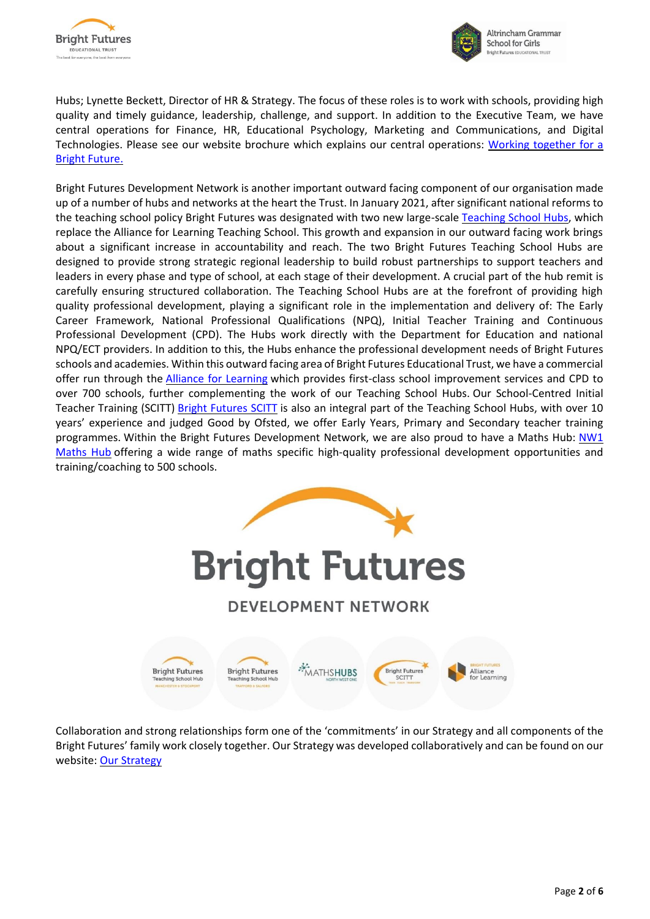



Hubs; Lynette Beckett, Director of HR & Strategy. The focus of these roles is to work with schools, providing high quality and timely guidance, leadership, challenge, and support. In addition to the Executive Team, we have central operations for Finance, HR, Educational Psychology, Marketing and Communications, and Digital Technologies. Please see our website brochure which explains our central operations: Working [together](https://www.bright-futures.co.uk/wp-content/uploads/2021/12/Why-Join-Bright-Futures.pdf) for a Bright [Future.](https://www.bright-futures.co.uk/wp-content/uploads/2021/12/Why-Join-Bright-Futures.pdf)

Bright Futures Development Network is another important outward facing component of our organisation made up of a number of hubs and networks at the heart the Trust. In January 2021, after significant national reforms to the teaching school policy Bright Futures was designated with two new large-scale [Teaching School Hubs,](https://tsh.bright-futures.co.uk/) which replace the Alliance for Learning Teaching School. This growth and expansion in our outward facing work brings about a significant increase in accountability and reach. The two Bright Futures Teaching School Hubs are designed to provide strong strategic regional leadership to build robust partnerships to support teachers and leaders in every phase and type of school, at each stage of their development. A crucial part of the hub remit is carefully ensuring structured collaboration. The Teaching School Hubs are at the forefront of providing high quality professional development, playing a significant role in the implementation and delivery of: The Early Career Framework, National Professional Qualifications (NPQ), Initial Teacher Training and Continuous Professional Development (CPD). The Hubs work directly with the Department for Education and national NPQ/ECT providers. In addition to this, the Hubs enhance the professional development needs of Bright Futures schools and academies. Within this outward facing area of Bright Futures Educational Trust, we have a commercial offer run through the [Alliance for Learning](http://allianceforlearning.co.uk/) which provides first-class school improvement services and CPD to over 700 schools, further complementing the work of our Teaching School Hubs. Our School-Centred Initial Teacher Training (SCITT) [Bright Futures SCITT](https://www.bright-futures.co.uk/development-network/bright-futures-scitt/) is also an integral part of the Teaching School Hubs, with over 10 years' experience and judged Good by Ofsted, we offer Early Years, Primary and Secondary teacher training programmes. Within the Bright Futures Development Network, we are also proud to have a Maths Hub: [NW1](http://www.nw1mathshub.co.uk/)  [Maths Hub](http://www.nw1mathshub.co.uk/) offering a wide range of maths specific high-quality professional development opportunities and training/coaching to 500 schools.



Collaboration and strong relationships form one of the 'commitments' in our Strategy and all components of the Bright Futures' family work closely together. Our Strategy was developed collaboratively and can be found on our website: Our [Strategy](https://www.bright-futures.co.uk/about-us/our-strategy/)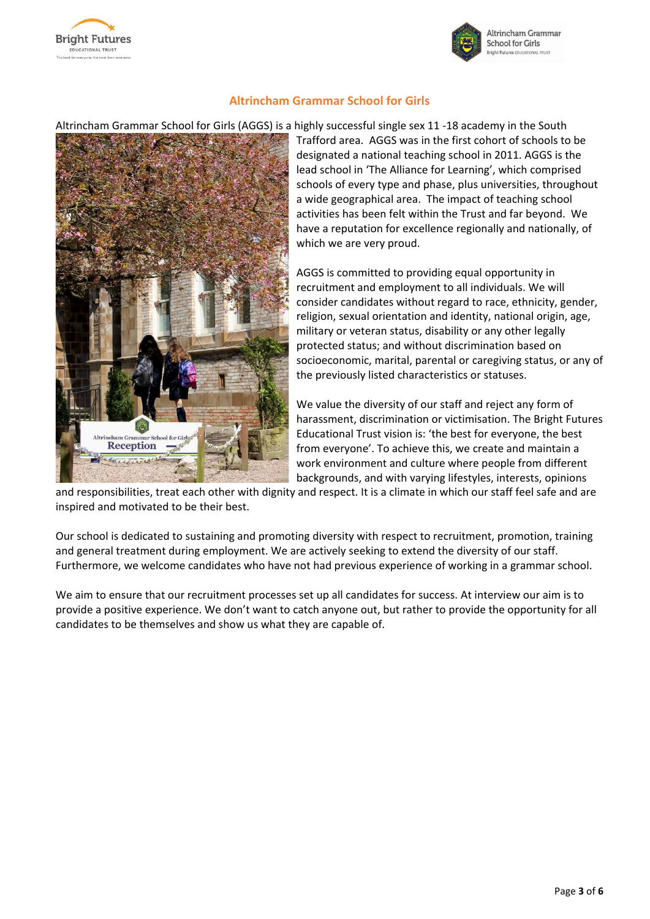



## **Altrincham Grammar School for Girls**

#### Altrincham Grammar School for Girls (AGGS) is a highly successful single sex 11 -18 academy in the South



Trafford area. AGGS was in the first cohort of schools to be designated a national teaching school in 2011. AGGS is the lead school in 'The Alliance for Learning', which comprised schools of every type and phase, plus universities, throughout a wide geographical area. The impact of teaching school activities has been felt within the Trust and far beyond. We have a reputation for excellence regionally and nationally, of which we are very proud.

AGGS is committed to providing equal opportunity in recruitment and employment to all individuals. We will consider candidates without regard to race, ethnicity, gender, religion, sexual orientation and identity, national origin, age, military or veteran status, disability or any other legally protected status; and without discrimination based on socioeconomic, marital, parental or caregiving status, or any of the previously listed characteristics or statuses.

We value the diversity of our staff and reject any form of harassment, discrimination or victimisation. The Bright Futures Educational Trust vision is: 'the best for everyone, the best from everyone'. To achieve this, we create and maintain a work environment and culture where people from different backgrounds, and with varying lifestyles, interests, opinions

and responsibilities, treat each other with dignity and respect. It is a climate in which our staff feel safe and are inspired and motivated to be their best.

Our school is dedicated to sustaining and promoting diversity with respect to recruitment, promotion, training and general treatment during employment. We are actively seeking to extend the diversity of our staff. Furthermore, we welcome candidates who have not had previous experience of working in a grammar school.

We aim to ensure that our recruitment processes set up all candidates for success. At interview our aim is to provide a positive experience. We don't want to catch anyone out, but rather to provide the opportunity for all candidates to be themselves and show us what they are capable of.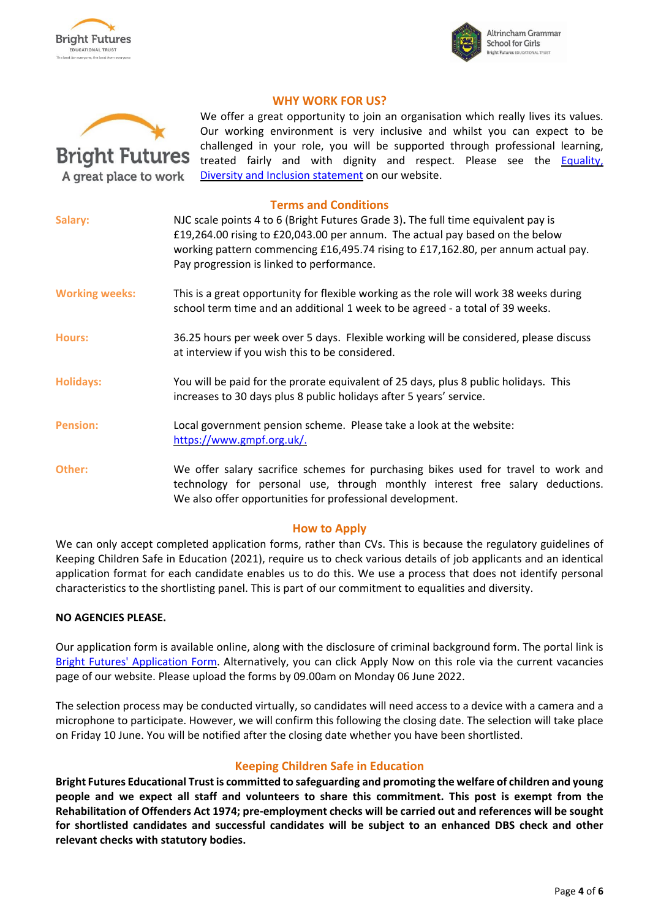



#### **WHY WORK FOR US?**



We offer a great opportunity to join an organisation which really lives its values. Our working environment is very inclusive and whilst you can expect to be challenged in your role, you will be supported through professional learning, treated fairly and with dignity and respect. Please see the **Equality**, Diversity and Inclusion [statement](https://www.bright-futures.co.uk/join-us/job-vacancies/) on our website.

#### **Terms and Conditions**

| Salary:               | NJC scale points 4 to 6 (Bright Futures Grade 3). The full time equivalent pay is<br>£19,264.00 rising to £20,043.00 per annum. The actual pay based on the below<br>working pattern commencing £16,495.74 rising to £17,162.80, per annum actual pay.<br>Pay progression is linked to performance. |  |
|-----------------------|-----------------------------------------------------------------------------------------------------------------------------------------------------------------------------------------------------------------------------------------------------------------------------------------------------|--|
| <b>Working weeks:</b> | This is a great opportunity for flexible working as the role will work 38 weeks during<br>school term time and an additional 1 week to be agreed - a total of 39 weeks.                                                                                                                             |  |
| <b>Hours:</b>         | 36.25 hours per week over 5 days. Flexible working will be considered, please discuss<br>at interview if you wish this to be considered.                                                                                                                                                            |  |
| <b>Holidays:</b>      | You will be paid for the prorate equivalent of 25 days, plus 8 public holidays. This<br>increases to 30 days plus 8 public holidays after 5 years' service.                                                                                                                                         |  |
| <b>Pension:</b>       | Local government pension scheme. Please take a look at the website:<br>https://www.gmpf.org.uk/.                                                                                                                                                                                                    |  |
| Other:                | We offer salary sacrifice schemes for purchasing bikes used for travel to work and<br>technology for personal use, through monthly interest free salary deductions.<br>We also offer opportunities for professional development.                                                                    |  |
|                       |                                                                                                                                                                                                                                                                                                     |  |

#### **How to Apply**

We can only accept completed application forms, rather than CVs. This is because the regulatory guidelines of Keeping Children Safe in Education (2021), require us to check various details of job applicants and an identical application format for each candidate enables us to do this. We use a process that does not identify personal characteristics to the shortlisting panel. This is part of our commitment to equalities and diversity.

#### **NO AGENCIES PLEASE.**

Our application form is available online, along with the disclosure of criminal background form. The portal link is Bright Futures' [Application](https://bfet.jotform.com/221222831825954) Form. Alternatively, you can click Apply Now on this role via the current vacancies page of our website. Please upload the forms by 09.00am on Monday 06 June 2022.

The selection process may be conducted virtually, so candidates will need access to a device with a camera and a microphone to participate. However, we will confirm this following the closing date. The selection will take place on Friday 10 June. You will be notified after the closing date whether you have been shortlisted.

## **Keeping Children Safe in Education**

**Bright Futures Educational Trustis committed to safeguarding and promoting the welfare of children and young** people and we expect all staff and volunteers to share this commitment. This post is exempt from the **Rehabilitation of Offenders Act 1974; pre-employment checks will be carried out and references will be sought for shortlisted candidates and successful candidates will be subject to an enhanced DBS check and other relevant checks with statutory bodies.**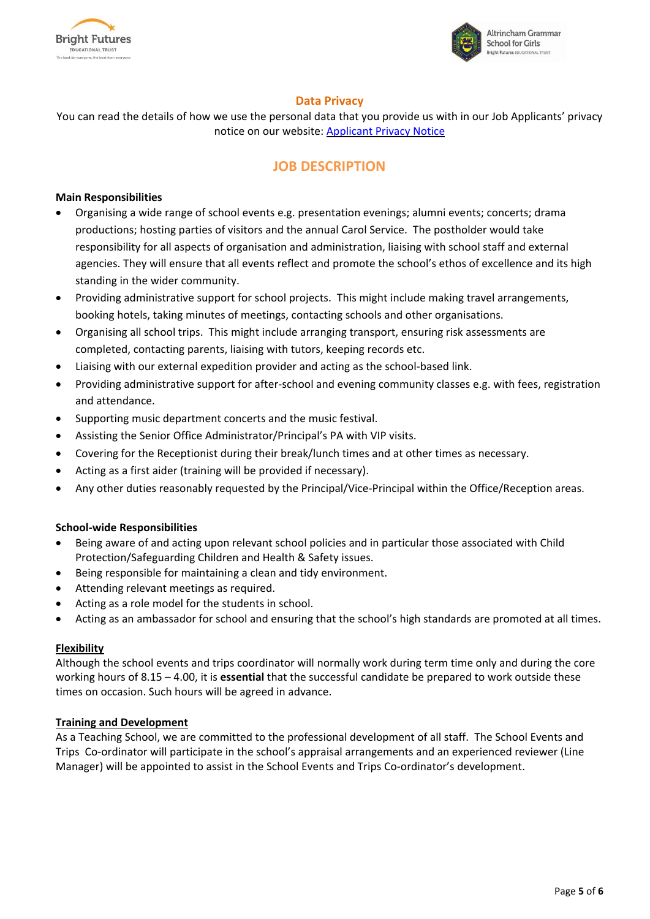



#### **Data Privacy**

You can read the details of how we use the personal data that you provide us with in our Job Applicants' privacy notice on our website: [Applicant](https://www.bright-futures.co.uk/wp-content/uploads/2021/11/BFET-Applicant-privacy-notice-002.pdf) Privacy Notice

## **JOB DESCRIPTION**

#### **Main Responsibilities**

- Organising a wide range of school events e.g. presentation evenings; alumni events; concerts; drama productions; hosting parties of visitors and the annual Carol Service. The postholder would take responsibility for all aspects of organisation and administration, liaising with school staff and external agencies. They will ensure that all events reflect and promote the school's ethos of excellence and its high standing in the wider community.
- Providing administrative support for school projects. This might include making travel arrangements, booking hotels, taking minutes of meetings, contacting schools and other organisations.
- Organising all school trips. This might include arranging transport, ensuring risk assessments are completed, contacting parents, liaising with tutors, keeping records etc.
- Liaising with our external expedition provider and acting as the school-based link.
- Providing administrative support for after-school and evening community classes e.g. with fees, registration and attendance.
- Supporting music department concerts and the music festival.
- Assisting the Senior Office Administrator/Principal's PA with VIP visits.
- Covering for the Receptionist during their break/lunch times and at other times as necessary.
- Acting as a first aider (training will be provided if necessary).
- Any other duties reasonably requested by the Principal/Vice-Principal within the Office/Reception areas.

#### **School-wide Responsibilities**

- Being aware of and acting upon relevant school policies and in particular those associated with Child Protection/Safeguarding Children and Health & Safety issues.
- Being responsible for maintaining a clean and tidy environment.
- Attending relevant meetings as required.
- Acting as a role model for the students in school.
- Acting as an ambassador for school and ensuring that the school's high standards are promoted at all times.

#### **Flexibility**

Although the school events and trips coordinator will normally work during term time only and during the core working hours of 8.15 – 4.00, it is **essential** that the successful candidate be prepared to work outside these times on occasion. Such hours will be agreed in advance.

#### **Training and Development**

As a Teaching School, we are committed to the professional development of all staff. The School Events and Trips Co-ordinator will participate in the school's appraisal arrangements and an experienced reviewer (Line Manager) will be appointed to assist in the School Events and Trips Co-ordinator's development.